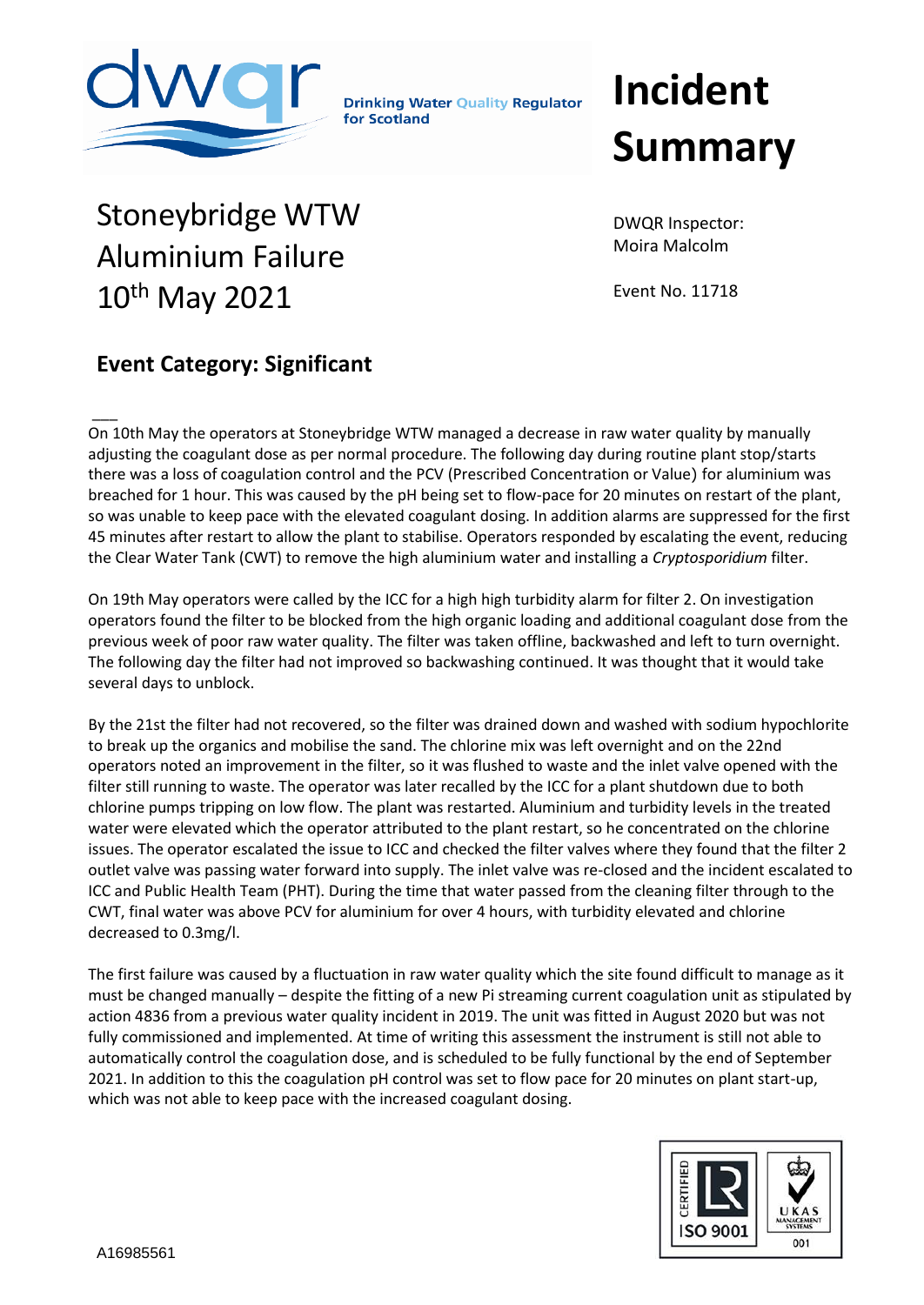

**Drinking Water Quality Regulator** for Scotland

## **Incident Summary**

## Stoneybridge WTW Aluminium Failure 10th May 2021

DWQR Inspector: Moira Malcolm

Event No. 11718

## **Event Category: Significant**

 $\overline{\phantom{a}}$ On 10th May the operators at Stoneybridge WTW managed a decrease in raw water quality by manually adjusting the coagulant dose as per normal procedure. The following day during routine plant stop/starts there was a loss of coagulation control and the PCV (Prescribed Concentration or Value) for aluminium was breached for 1 hour. This was caused by the pH being set to flow-pace for 20 minutes on restart of the plant, so was unable to keep pace with the elevated coagulant dosing. In addition alarms are suppressed for the first 45 minutes after restart to allow the plant to stabilise. Operators responded by escalating the event, reducing the Clear Water Tank (CWT) to remove the high aluminium water and installing a *Cryptosporidium* filter.

On 19th May operators were called by the ICC for a high high turbidity alarm for filter 2. On investigation operators found the filter to be blocked from the high organic loading and additional coagulant dose from the previous week of poor raw water quality. The filter was taken offline, backwashed and left to turn overnight. The following day the filter had not improved so backwashing continued. It was thought that it would take several days to unblock.

By the 21st the filter had not recovered, so the filter was drained down and washed with sodium hypochlorite to break up the organics and mobilise the sand. The chlorine mix was left overnight and on the 22nd operators noted an improvement in the filter, so it was flushed to waste and the inlet valve opened with the filter still running to waste. The operator was later recalled by the ICC for a plant shutdown due to both chlorine pumps tripping on low flow. The plant was restarted. Aluminium and turbidity levels in the treated water were elevated which the operator attributed to the plant restart, so he concentrated on the chlorine issues. The operator escalated the issue to ICC and checked the filter valves where they found that the filter 2 outlet valve was passing water forward into supply. The inlet valve was re-closed and the incident escalated to ICC and Public Health Team (PHT). During the time that water passed from the cleaning filter through to the CWT, final water was above PCV for aluminium for over 4 hours, with turbidity elevated and chlorine decreased to 0.3mg/l.

The first failure was caused by a fluctuation in raw water quality which the site found difficult to manage as it must be changed manually – despite the fitting of a new Pi streaming current coagulation unit as stipulated by action 4836 from a previous water quality incident in 2019. The unit was fitted in August 2020 but was not fully commissioned and implemented. At time of writing this assessment the instrument is still not able to automatically control the coagulation dose, and is scheduled to be fully functional by the end of September 2021. In addition to this the coagulation pH control was set to flow pace for 20 minutes on plant start-up, which was not able to keep pace with the increased coagulant dosing.